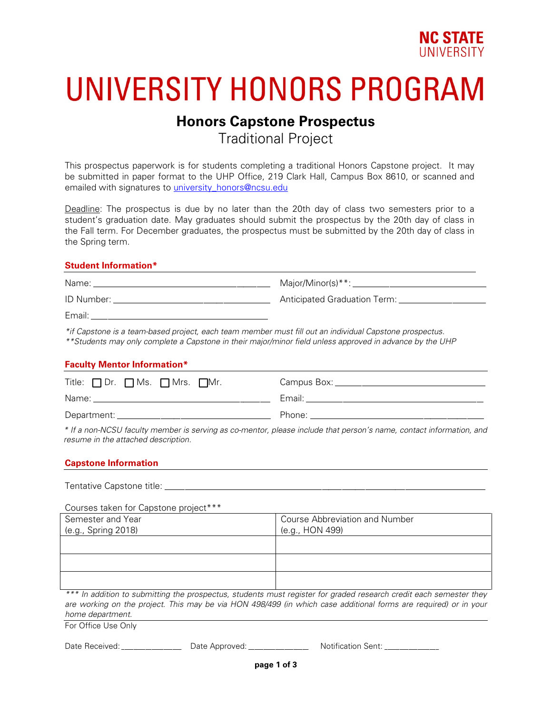

# UNIVERSITY HONORS PROGRAM

### **Honors Capstone Prospectus**

Traditional Project

This prospectus paperwork is for students completing a traditional Honors Capstone project. It may be submitted in paper format to the UHP Office, 219 Clark Hall, Campus Box 8610, or scanned and emailed with signatures to *university* honors@ncsu.edu

Deadline: The prospectus is due by no later than the 20th day of class two semesters prior to a student's graduation date. May graduates should submit the prospectus by the 20th day of class in the Fall term. For December graduates, the prospectus must be submitted by the 20th day of class in the Spring term.

#### **Student Information\***

| Name:      | $Major/Minor(s)$ **:         |
|------------|------------------------------|
| ID Number: | Anticipated Graduation Term: |
| Email:     |                              |

*\*if Capstone is a team-based project, each team member must fill out an individual Capstone prospectus. \*\*Students may only complete a Capstone in their major/minor field unless approved in advance by the UHP*

#### **Faculty Mentor Information\***

| Title: $\bigcap$ Dr. $\bigcap$ Ms. $\bigcap$ Mrs. $\bigcap$ Mr. | Campus Box: |
|-----------------------------------------------------------------|-------------|
| Name:                                                           | Email:      |
| Department:                                                     | Phone:      |

*\* If a non-NCSU faculty member is serving as co-mentor, please include that person's name, contact information, and resume in the attached description.* 

#### **Capstone Information**

Tentative Capstone title: \_\_\_\_\_\_\_\_

Courses taken for Capstone project\*\*\*

| Semester and Year   | <b>Course Abbreviation and Number</b> |
|---------------------|---------------------------------------|
| (e.g., Spring 2018) | (e.g., HON 499)                       |
|                     |                                       |
|                     |                                       |
|                     |                                       |
|                     |                                       |
|                     |                                       |

*\*\*\* In addition to submitting the prospectus, students must register for graded research credit each semester they are working on the project. This may be via HON 498/499 (in which case additional forms are required) or in your home department.*

For Office Use Only

Date Received: \_\_\_\_\_\_\_\_\_\_\_\_\_\_\_\_\_\_\_ Date Approved: \_\_\_\_\_\_\_\_\_\_\_\_\_\_\_\_\_\_\_\_\_\_\_\_ Notification Sent: \_\_\_\_\_\_\_\_\_\_\_\_\_\_\_\_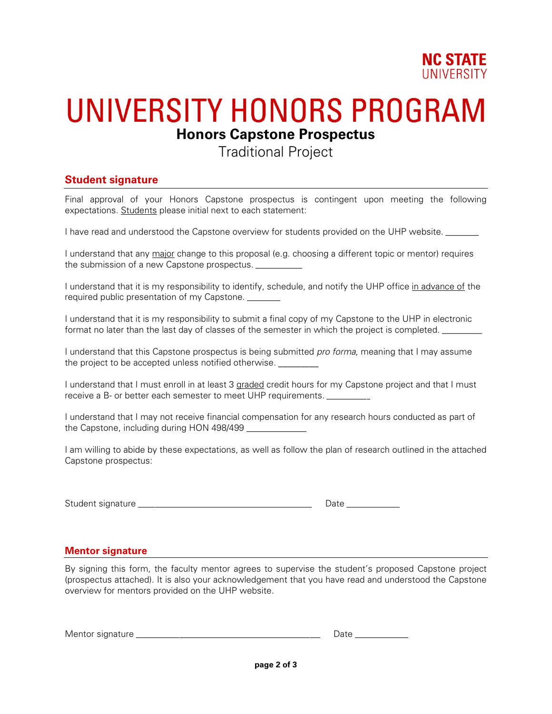

### UNIVERSITY HONORS PROGRAM **Honors Capstone Prospectus**

Traditional Project

#### **Student signature**

Final approval of your Honors Capstone prospectus is contingent upon meeting the following expectations. Students please initial next to each statement:

I have read and understood the Capstone overview for students provided on the UHP website. \_\_\_\_\_\_\_

I understand that any major change to this proposal (e.g. choosing a different topic or mentor) requires the submission of a new Capstone prospectus.

I understand that it is my responsibility to identify, schedule, and notify the UHP office in advance of the required public presentation of my Capstone.

I understand that it is my responsibility to submit a final copy of my Capstone to the UHP in electronic format no later than the last day of classes of the semester in which the project is completed.

I understand that this Capstone prospectus is being submitted *pro forma*, meaning that I may assume the project to be accepted unless notified otherwise.

I understand that I must enroll in at least 3 graded credit hours for my Capstone project and that I must receive a B- or better each semester to meet UHP requirements. \_\_\_\_\_\_\_\_\_\_\_

I understand that I may not receive financial compensation for any research hours conducted as part of the Capstone, including during HON 498/499

I am willing to abide by these expectations, as well as follow the plan of research outlined in the attached Capstone prospectus:

Student signature experiments and the student signature of the students of the students of the students of the studies of the studies of the studies of the studies of the studies of the studies of the studies of the studie

#### **Mentor signature**

By signing this form, the faculty mentor agrees to supervise the student's proposed Capstone project (prospectus attached). It is also your acknowledgement that you have read and understood the Capstone overview for mentors provided on the UHP website.

Mentor signature \_\_\_\_\_\_\_\_\_\_\_\_\_\_\_\_\_\_\_\_\_\_\_\_\_\_\_\_\_\_\_\_\_\_\_\_\_\_\_\_\_\_\_\_\_\_\_\_\_\_\_\_\_\_\_ Date \_\_\_\_\_\_\_\_\_\_\_\_\_\_\_\_